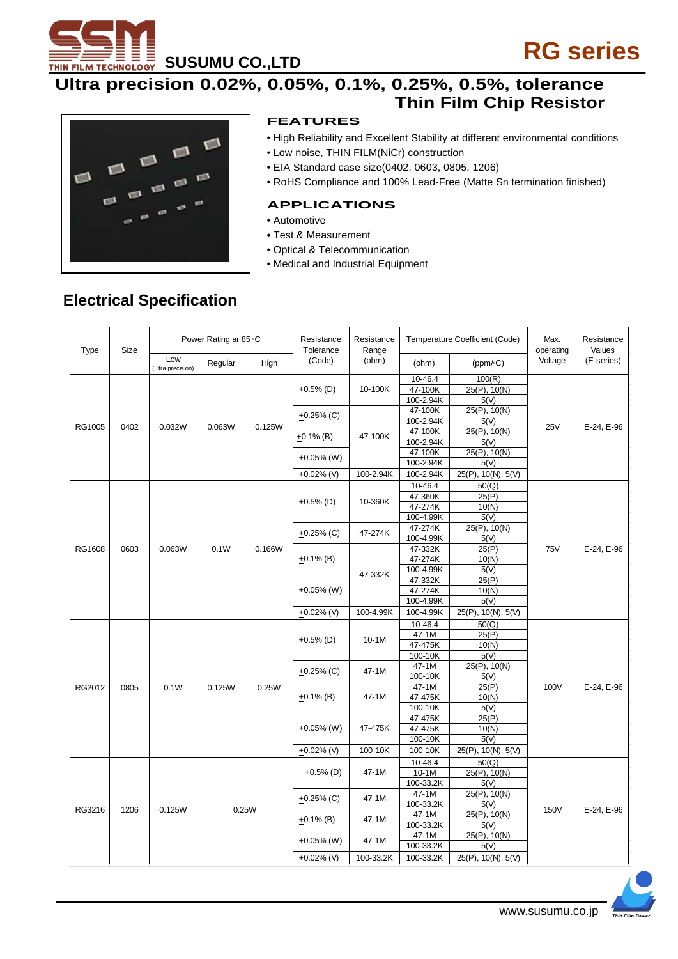

# **ULTRA PROPERTS AND SUMBLE PROPERTY ASSESSING**<br>Ultra precision 0.02%, 0.05%, 0.1%, 0.25%, 0.5%, tolerance  **Thin Film Chip Resistor**



#### **FEATURES**

- High Reliability and Excellent Stability at different environmental conditions
- Low noise, THIN FILM(NiCr) construction
- EIA Standard case size(0402, 0603, 0805, 1206)
- RoHS Compliance and 100% Lead-Free (Matte Sn termination finished)

#### **APPLICATIONS**

- Automotive
- Test & Measurement
- Optical & Telecommunication
- Medical and Industrial Equipment

#### **Electrical Specification**

| <b>Type</b> | Size | Power Rating ar 85 °C                                                                                                                           |         |                                                                                                                                                | Resistance<br>Tolerance                             | Resistance<br>Range |                                 | Temperature Coefficient (Code) | Max.<br>operating | Resistance<br>Values |  |
|-------------|------|-------------------------------------------------------------------------------------------------------------------------------------------------|---------|------------------------------------------------------------------------------------------------------------------------------------------------|-----------------------------------------------------|---------------------|---------------------------------|--------------------------------|-------------------|----------------------|--|
|             |      | Low<br>(ultra precision)                                                                                                                        | Regular | High                                                                                                                                           | (Code)                                              | (ohm)               | (ohm)                           | $(ppm/\circ C)$                | Voltage           | (E-series)           |  |
|             | 0402 | 0.032W                                                                                                                                          |         | 0.125W                                                                                                                                         | $+0.5\%$ (D)                                        | 10-100K             | 10-46.4<br>47-100K<br>100-2.94K | 100(R)<br>25(P), 10(N)<br>5(V) | <b>25V</b>        | E-24, E-96           |  |
|             |      |                                                                                                                                                 | 0.063W  |                                                                                                                                                | $+0.25\%$ (C)                                       | 47-100K             | 47-100K<br>100-2.94K            | 25(P), 10(N)<br>5(V)           |                   |                      |  |
| RG1005      |      |                                                                                                                                                 |         |                                                                                                                                                | $+0.1\%$ (B)                                        |                     | 47-100K<br>100-2.94K            | 25(P), 10(N)<br>5(V)           |                   |                      |  |
|             |      |                                                                                                                                                 |         |                                                                                                                                                | $+0.05\%$ (W)                                       |                     | 47-100K<br>100-2.94K            | 25(P), 10(N)<br>5(V)           |                   |                      |  |
|             |      |                                                                                                                                                 |         |                                                                                                                                                | +0.02% (V)                                          | 100-2.94K           | 100-2.94K                       | 25(P), 10(N), 5(V)             |                   |                      |  |
|             |      |                                                                                                                                                 |         |                                                                                                                                                |                                                     |                     | 10-46.4                         | 50(Q)                          |                   |                      |  |
|             |      |                                                                                                                                                 |         | 0.166W                                                                                                                                         |                                                     | 10-360K             | 47-360K                         | 25(P)                          |                   | E-24, E-96           |  |
|             |      |                                                                                                                                                 |         |                                                                                                                                                | $+0.5%$ (D)                                         |                     | 47-274K                         | 10(N)                          |                   |                      |  |
|             |      |                                                                                                                                                 |         |                                                                                                                                                |                                                     |                     | 100-4.99K                       | 5(V)                           |                   |                      |  |
|             | 0603 | 0.063W<br>0.1W<br>$+0.05\%$ (W)                                                                                                                 |         |                                                                                                                                                | 47-274K<br>$+0.25\%$ (C)                            |                     | 47-274K                         | 25(P), 10(N)                   |                   |                      |  |
|             |      |                                                                                                                                                 |         |                                                                                                                                                |                                                     |                     | 100-4.99K                       | 5(V)                           | <b>75V</b>        |                      |  |
| RG1608      |      |                                                                                                                                                 |         |                                                                                                                                                | $+0.1\%$ (B)                                        | 47-332K             | 47-332K                         | 25(P)                          |                   |                      |  |
|             |      |                                                                                                                                                 |         |                                                                                                                                                |                                                     |                     | 47-274K                         | 10(N)                          |                   |                      |  |
|             |      |                                                                                                                                                 |         |                                                                                                                                                |                                                     |                     | 100-4.99K                       | 5(V)                           |                   |                      |  |
|             |      |                                                                                                                                                 |         | 47-332K                                                                                                                                        | 25(P)                                               |                     |                                 |                                |                   |                      |  |
|             |      |                                                                                                                                                 |         |                                                                                                                                                |                                                     |                     | 47-274K<br>100-4.99K            | 10(N)<br>5(V)                  |                   |                      |  |
|             |      |                                                                                                                                                 |         |                                                                                                                                                |                                                     | 100-4.99K           | 100-4.99K                       | 25(P), 10(N), 5(V)             |                   |                      |  |
|             |      |                                                                                                                                                 |         |                                                                                                                                                | $+0.02\%$ (V)                                       |                     | 10-46.4                         | 50(Q)                          |                   |                      |  |
|             |      |                                                                                                                                                 |         |                                                                                                                                                |                                                     | $10-1M$             | $47-1M$                         | 25(P)                          |                   |                      |  |
|             |      |                                                                                                                                                 |         |                                                                                                                                                | $+0.5\%$ (D)                                        |                     | 47-475K                         | 10(N)                          |                   |                      |  |
|             |      |                                                                                                                                                 |         |                                                                                                                                                |                                                     |                     | 100-10K                         | 5(V)                           |                   |                      |  |
|             |      |                                                                                                                                                 |         |                                                                                                                                                | 47-1M<br>$+0.25\%$ (C)<br>47-1M<br>100-10K<br>47-1M |                     |                                 | 25(P), 10(N)                   |                   |                      |  |
|             |      |                                                                                                                                                 |         |                                                                                                                                                |                                                     |                     |                                 | 5(V)                           |                   |                      |  |
| RG2012      | 0805 | 0.1W                                                                                                                                            | 0.125W  | 0.25W                                                                                                                                          |                                                     | 25(P)               | 100V                            | E-24, E-96                     |                   |                      |  |
|             |      | 47-1M<br>47-475K<br>$+0.1\%$ (B)<br>100-10K<br>47-475K<br>$+0.05\%$ (W)<br>47-475K<br>47-475K<br>100-10K<br>100-10K<br>100-10K<br>$+0.02\%$ (V) |         |                                                                                                                                                | 10(N)                                               |                     |                                 |                                |                   |                      |  |
|             |      |                                                                                                                                                 |         |                                                                                                                                                |                                                     |                     |                                 |                                | 5(V)              |                      |  |
|             |      |                                                                                                                                                 |         |                                                                                                                                                |                                                     |                     |                                 | 25(P)                          |                   |                      |  |
|             |      |                                                                                                                                                 |         |                                                                                                                                                |                                                     |                     |                                 | 10(N)                          |                   |                      |  |
|             |      |                                                                                                                                                 | 5(V)    |                                                                                                                                                |                                                     |                     |                                 |                                |                   |                      |  |
|             |      |                                                                                                                                                 |         |                                                                                                                                                |                                                     |                     |                                 | 25(P), 10(N), 5(V)             |                   |                      |  |
| RG3216      |      |                                                                                                                                                 |         |                                                                                                                                                | $+0.5\%$ (D)<br>$+0.25\%$ (C)                       | 47-1M               | 10-46.4                         | 50(Q)                          |                   |                      |  |
|             |      |                                                                                                                                                 |         | $10-1M$<br>100-33.2K<br>47-1M<br>47-1M<br>100-33.2K<br>0.25W<br>47-1M<br>$+0.1\%$ (B)<br>47-1M<br>100-33.2K<br>47-1M<br>47-1M<br>$+0.05\%$ (W) |                                                     |                     |                                 | 25(P), 10(N)                   |                   |                      |  |
|             |      |                                                                                                                                                 |         |                                                                                                                                                |                                                     |                     |                                 | 5(V)                           |                   |                      |  |
|             | 1206 | 0.125W                                                                                                                                          |         |                                                                                                                                                |                                                     |                     |                                 | 25(P), 10(N)<br>5(V)           | 150V              | E-24, E-96           |  |
|             |      |                                                                                                                                                 |         |                                                                                                                                                |                                                     |                     |                                 | 25(P), 10(N)                   |                   |                      |  |
|             |      |                                                                                                                                                 |         |                                                                                                                                                |                                                     |                     |                                 | 5(V)                           |                   |                      |  |
|             |      |                                                                                                                                                 |         |                                                                                                                                                |                                                     |                     |                                 | 25(P), 10(N)                   |                   |                      |  |
|             |      |                                                                                                                                                 |         |                                                                                                                                                |                                                     |                     | 100-33.2K                       | 5(V)                           |                   |                      |  |
|             |      |                                                                                                                                                 |         |                                                                                                                                                | +0.02% (V)                                          | 100-33.2K           | 100-33.2K                       | 25(P), 10(N), 5(V)             |                   |                      |  |

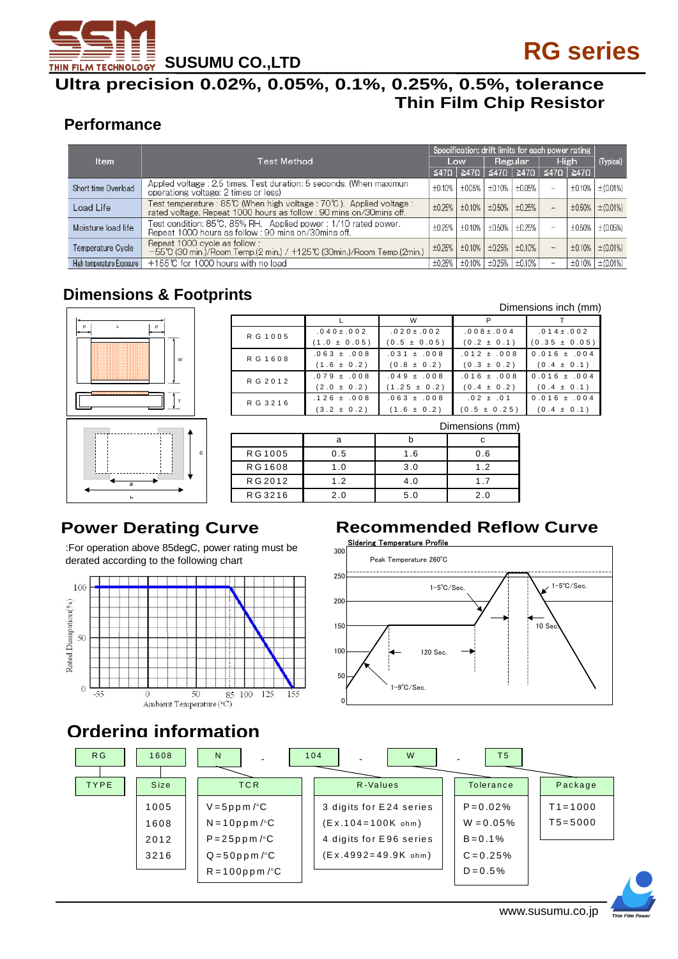

### **Ultra precision 0.02%, 0.05%, 0.1%, 0.25%, 0.5%, tolerance Thin Film Chip Resistor**

#### **Performance**

|                           |                                                                                                                                           | Specification: drift limits for each power rating |        |        |                             |                          |        |                |
|---------------------------|-------------------------------------------------------------------------------------------------------------------------------------------|---------------------------------------------------|--------|--------|-----------------------------|--------------------------|--------|----------------|
| Item                      | Test Method                                                                                                                               |                                                   | Low    |        | Regular                     |                          | High   |                |
|                           |                                                                                                                                           | ≤47Ω                                              |        |        | ≧47Ω   ≤47Ω   ≧47Ω          | ≦47Ω   ≧47Ω              |        |                |
| Short time Overload       | Appled voltage: 2.5 times. Test duration: 5 seconds. (When maximun<br>operationg voltage: 2 times or less)                                | ±0.10%                                            | ±0.05% |        | $\pm 0.10\%$   $\pm 0.05\%$ | $\overline{\phantom{0}}$ | ±0.10% | $\pm (0.01\%)$ |
| Load Life                 | Test temperature : 85℃ (When high voltage : 70℃). Applied voltage :<br>rated voltage. Repeat 1000 hours as follow: 90 mins on/30mins off. | ±0.25%                                            | ±0.10% |        | $\pm 0.50\%$ $\pm 0.25\%$   | $-$                      | ±0.50% | $\pm (0.01\%)$ |
| Moisture load life        | Test condition: 85℃, 85% RH. Applied power : 1/10 rated power.<br>Repeat 1000 hours as follow: 90 mins on/30mins off.                     | ±0.25%                                            | ±0.10% |        | $\pm 0.50\%$ $\pm 0.25\%$   |                          | ±0.50% | $\pm (0.05\%)$ |
| Temperature Cycle         | Repeat 1000 cycle as follow:<br>-55℃ (30 min.)/Room Temp.(2 min.) / +125℃ (30min.)/Room Temp.(2min.)                                      | ±0.25%                                            | ±0.10% |        | $\pm 0.25\%$   $\pm 0.10\%$ | $-$                      | ±0.10% | ±(0.01%)       |
| High temperature Exposure | +155℃ for 1000 hours with no load                                                                                                         | ±0.25%                                            | ±0.10% | ±0.25% | ±0.10%                      | $\overline{\phantom{0}}$ | ±0.10% | ±(0.01%)       |

### **Dimensions & Footprints**



| Dimensions inch (mm) |                  |                  |                  |                   |  |  |  |
|----------------------|------------------|------------------|------------------|-------------------|--|--|--|
|                      |                  | W                |                  |                   |  |  |  |
| RG 1005              | $.040 \pm .002$  | $.020 \pm .002$  | $.008 \pm .004$  | $.014 \pm .002$   |  |  |  |
|                      | $(1.0 \pm 0.05)$ | $(0.5 \pm 0.05)$ | $(0.2 \pm 0.1)$  | $(0.35 \pm 0.05)$ |  |  |  |
| RG 1608              | $.063 \pm .008$  | $.031 \pm .008$  | $.012 \pm .008$  | $0.016 \pm .004$  |  |  |  |
|                      | $(1.6 \pm 0.2)$  | $(0.8 \pm 0.2)$  | $(0.3 \pm 0.2)$  | $(0.4 \pm 0.1)$   |  |  |  |
| R G 2 0 1 2          | $.079 \pm .008$  | $.049 \pm .008$  | $.016 + .008$    | $0.016 \pm .004$  |  |  |  |
|                      | $(2.0 \pm 0.2)$  | $(1.25 \pm 0.2)$ | $(0.4 \pm 0.2)$  | $(0.4 \pm 0.1)$   |  |  |  |
| RG 3216              | $.126 \pm .008$  | $.063 \pm .008$  | $.02 + .01$      | $0.016 \pm .004$  |  |  |  |
|                      | $(3.2 \pm 0.2)$  | $(1.6 \pm 0.2)$  | $(0.5 \pm 0.25)$ | $(0.4 \pm 0.1)$   |  |  |  |

| Dimensions (mm) |     |     |     |  |  |  |
|-----------------|-----|-----|-----|--|--|--|
|                 |     |     |     |  |  |  |
| RG1005          | 0.5 | 1.6 | 0.6 |  |  |  |
| RG1608          | 1.0 | 3.0 | 1.2 |  |  |  |
| RG 2012         | 1.2 | 4.0 | 1.7 |  |  |  |
| RG3216          | 2.0 | 5.0 | 2 በ |  |  |  |

## **Power Derating Curve**

:For operation above 85degC, power rating must be derated according to the following chart



## **Recommended Reflow Curve**



## **Ordering information**

| R <sub>G</sub> | 1608        | N                | 104<br>W                | T <sub>5</sub> |             |
|----------------|-------------|------------------|-------------------------|----------------|-------------|
| <b>TYPE</b>    | <b>Size</b> | <b>TCR</b>       | R-Values                | Tolerance      | Package     |
|                | 1005        | $V = 5ppm/°C$    | 3 digits for E24 series | $P = 0.02%$    | $T1 = 1000$ |
|                | 1608        | $N = 10$ ppm/°C  | $(E x.104 = 100K ohm)$  | $W = 0.05%$    | $T5 = 5000$ |
|                | 2012        | $P = 25$ ppm/°C  | 4 digits for E96 series | $B = 0.1%$     |             |
|                | 3216        | $Q = 50ppm/°C$   | $(Ex.4992=49.9K ohm)$   | $C = 0.25%$    |             |
|                |             | $R = 100$ ppm/°C |                         | $D = 0.5%$     |             |

#### Dimensions inch (mm)

Thin Film Powe